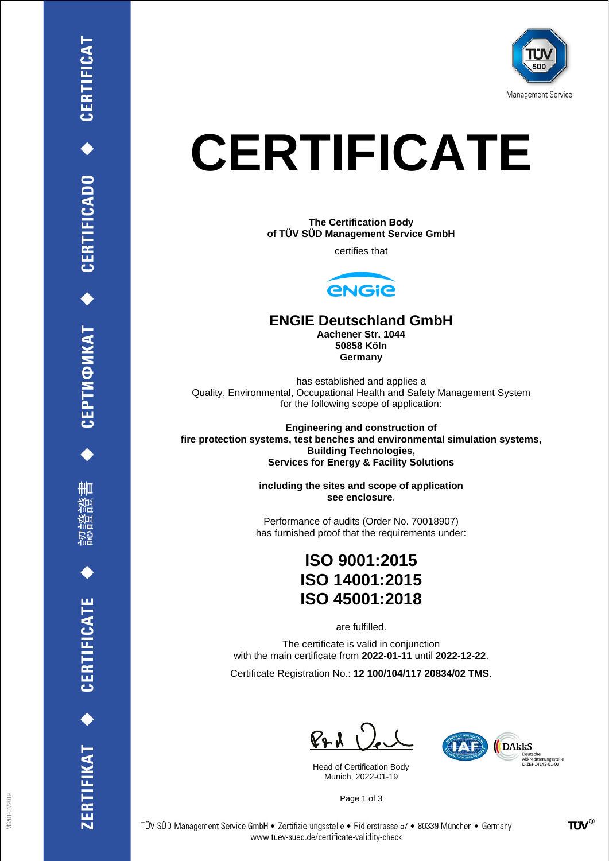

# **CERTIFICATE**

**The Certification Body of TÜV SÜD Management Service GmbH**

certifies that



#### **ENGIE Deutschland GmbH**

**Aachener Str. 1044 50858 Köln Germany**

has established and applies a Quality, Environmental, Occupational Health and Safety Management System for the following scope of application:

**Engineering and construction of fire protection systems, test benches and environmental simulation systems, Building Technologies, Services for Energy & Facility Solutions**

> **including the sites and scope of application see enclosure**.

Performance of audits (Order No. 70018907) has furnished proof that the requirements under:

# **ISO 9001:2015 ISO 14001:2015 ISO 45001:2018**

are fulfilled.

The certificate is valid in conjunction with the main certificate from **2022-01-11** until **2022-12-22**.

Certificate Registration No.: **12 100/104/117 20834/02 TMS**.

 $P + U$ 

Head of Certification Body Munich, 2022-01-19



Page 1 of 3

删

**CERTIFICATE** 

ERTIFIKAT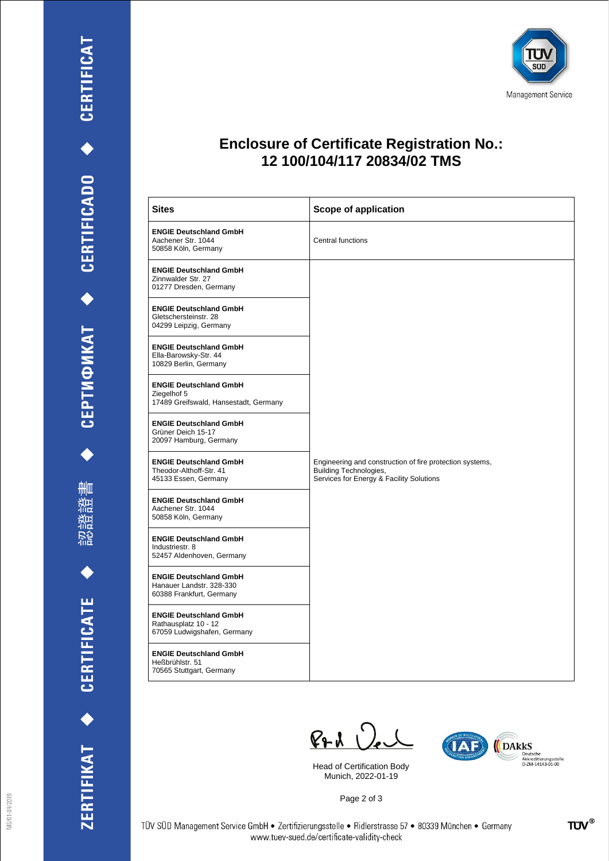書 滥

認得

ZERTIFIKAT ◆ CERTIFICATE



## **Enclosure of Certificate Registration No.: 12 100/104/117 20834/02 TMS**

| <b>Sites</b>                                                                          | <b>Scope of application</b>                                                                                                           |
|---------------------------------------------------------------------------------------|---------------------------------------------------------------------------------------------------------------------------------------|
| <b>ENGIE Deutschland GmbH</b><br>Aachener Str. 1044<br>50858 Köln, Germany            | Central functions                                                                                                                     |
| <b>ENGIE Deutschland GmbH</b><br>Zinnwalder Str. 27<br>01277 Dresden, Germany         |                                                                                                                                       |
| <b>ENGIE Deutschland GmbH</b><br>Gletschersteinstr. 28<br>04299 Leipzig, Germany      |                                                                                                                                       |
| <b>ENGIE Deutschland GmbH</b><br>Ella-Barowsky-Str. 44<br>10829 Berlin, Germany       |                                                                                                                                       |
| <b>ENGIE Deutschland GmbH</b><br>Ziegelhof 5<br>17489 Greifswald, Hansestadt, Germany |                                                                                                                                       |
| <b>ENGIE Deutschland GmbH</b><br>Grüner Deich 15-17<br>20097 Hamburg, Germany         |                                                                                                                                       |
| <b>ENGIE Deutschland GmbH</b><br>Theodor-Althoff-Str. 41<br>45133 Essen, Germany      | Engineering and construction of fire protection systems,<br><b>Building Technologies,</b><br>Services for Energy & Facility Solutions |
| <b>ENGIE Deutschland GmbH</b><br>Aachener Str. 1044<br>50858 Köln, Germany            |                                                                                                                                       |
| <b>ENGIE Deutschland GmbH</b><br>Industriestr. 8<br>52457 Aldenhoven, Germany         |                                                                                                                                       |
| <b>ENGIE Deutschland GmbH</b><br>Hanauer Landstr. 328-330<br>60388 Frankfurt, Germany |                                                                                                                                       |
| <b>ENGIE Deutschland GmbH</b><br>Rathausplatz 10 - 12<br>67059 Ludwigshafen, Germany  |                                                                                                                                       |
| <b>ENGIE Deutschland GmbH</b><br>Heßbrühlstr. 51<br>70565 Stuttgart, Germany          |                                                                                                                                       |

 $P + 1$ 

Head of Certification Body Munich, 2022-01-19



Page 2 of 3